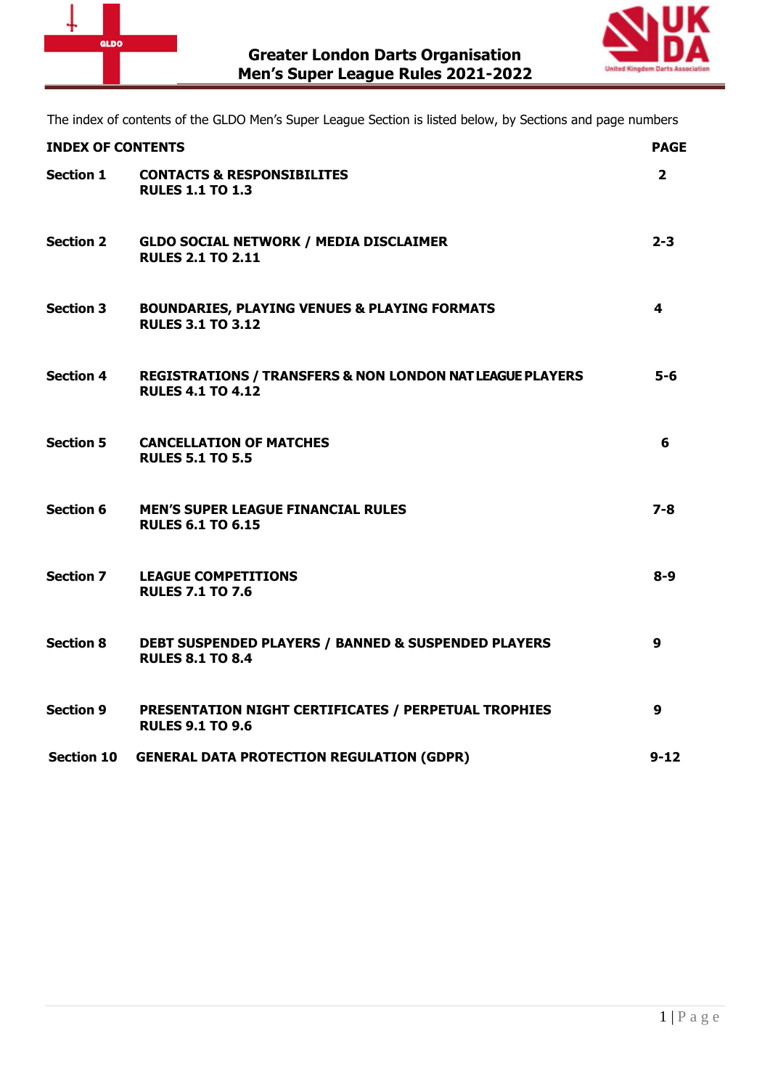



The index of contents of the GLDO Men's Super League Section is listed below, by Sections and page numbers

| <b>INDEX OF CONTENTS</b> |                                                                                                  | <b>PAGE</b>      |
|--------------------------|--------------------------------------------------------------------------------------------------|------------------|
| <b>Section 1</b>         | <b>CONTACTS &amp; RESPONSIBILITES</b><br><b>RULES 1.1 TO 1.3</b>                                 | $\overline{2}$   |
| <b>Section 2</b>         | <b>GLDO SOCIAL NETWORK / MEDIA DISCLAIMER</b><br><b>RULES 2.1 TO 2.11</b>                        | $2 - 3$          |
| <b>Section 3</b>         | <b>BOUNDARIES, PLAYING VENUES &amp; PLAYING FORMATS</b><br><b>RULES 3.1 TO 3.12</b>              | 4                |
| <b>Section 4</b>         | <b>REGISTRATIONS / TRANSFERS &amp; NON LONDON NAT LEAGUE PLAYERS</b><br><b>RULES 4.1 TO 4.12</b> | 5-6              |
| <b>Section 5</b>         | <b>CANCELLATION OF MATCHES</b><br><b>RULES 5.1 TO 5.5</b>                                        | 6                |
| <b>Section 6</b>         | <b>MEN'S SUPER LEAGUE FINANCIAL RULES</b><br><b>RULES 6.1 TO 6.15</b>                            | 7-8              |
| <b>Section 7</b>         | <b>LEAGUE COMPETITIONS</b><br><b>RULES 7.1 TO 7.6</b>                                            | $8-9$            |
| <b>Section 8</b>         | <b>DEBT SUSPENDED PLAYERS / BANNED &amp; SUSPENDED PLAYERS</b><br><b>RULES 8.1 TO 8.4</b>        | $\boldsymbol{9}$ |
| <b>Section 9</b>         | <b>PRESENTATION NIGHT CERTIFICATES / PERPETUAL TROPHIES</b><br><b>RULES 9.1 TO 9.6</b>           | $\boldsymbol{9}$ |
| <b>Section 10</b>        | <b>GENERAL DATA PROTECTION REGULATION (GDPR)</b>                                                 | $9 - 12$         |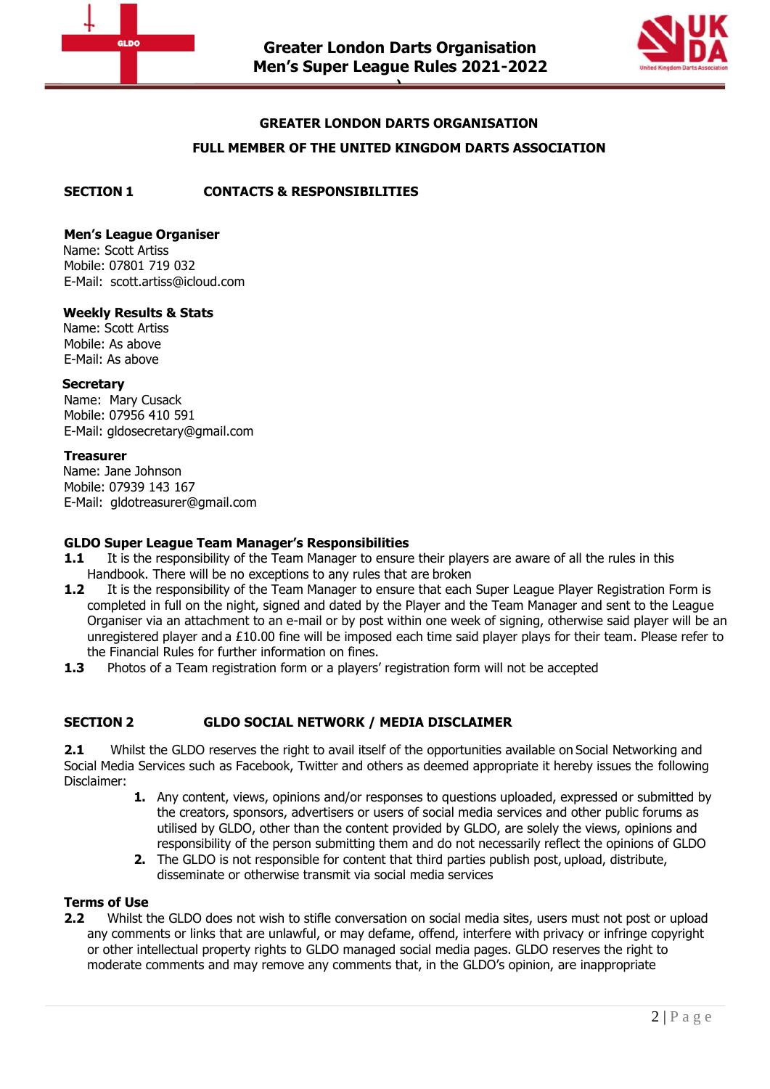



## **GREATER LONDON DARTS ORGANISATION**

## **FULL MEMBER OF THE UNITED KINGDOM DARTS ASSOCIATION**

**SECTION 1 CONTACTS & RESPONSIBILITIES**

## **Men's League Organiser**

 Name: Scott Artiss Mobile: 07801 719 032 E-Mail: scott.artiss@icloud.com

## **Weekly Results & Stats**

 Name: Scott Artiss Mobile: As above E-Mail: As above

#### **Secretary**

Name: Mary Cusack Mobile: 07956 410 591 E-Mail: gldosecretary@gmail.com

#### **Treasurer**

 Name: Jane Johnson Mobile: 07939 143 167 E-Mail: gldotreasurer@gmail.com

#### **GLDO Super League Team Manager's Responsibilities**

- **1.1** It is the responsibility of the Team Manager to ensure their players are aware of all the rules in this Handbook. There will be no exceptions to any rules that are broken
- **1.2** It is the responsibility of the Team Manager to ensure that each Super League Player Registration Form is completed in full on the night, signed and dated by the Player and the Team Manager and sent to the League Organiser via an attachment to an e-mail or by post within one week of signing, otherwise said player will be an unregistered player and a £10.00 fine will be imposed each time said player plays for their team. Please refer to the Financial Rules for further information on fines.
- <span id="page-1-0"></span>**1.3** Photos of a Team registration form or a players' registration form will not be accepted

# **SECTION 2 GLDO SOCIAL NETWORK / MEDIA DISCLAIMER**

**2.1** Whilst the GLDO reserves the right to avail itself of the opportunities available on Social Networking and Social Media Services such as Facebook, Twitter and others as deemed appropriate it hereby issues the following Disclaimer:

- **1.** Any content, views, opinions and/or responses to questions uploaded, expressed or submitted by the creators, sponsors, advertisers or users of social media services and other public forums as utilised by GLDO, other than the content provided by GLDO, are solely the views, opinions and responsibility of the person submitting them and do not necessarily reflect the opinions of GLDO
- **2.** The GLDO is not responsible for content that third parties publish post, upload, distribute, disseminate or otherwise transmit via social media services

## **Terms of Use**

**2.2** Whilst the GLDO does not wish to stifle conversation on social media sites, users must not post or upload any comments or links that are unlawful, or may defame, offend, interfere with privacy or infringe copyright or other intellectual property rights to GLDO managed social media pages. GLDO reserves the right to moderate comments and may remove any comments that, in the GLDO's opinion, are inappropriate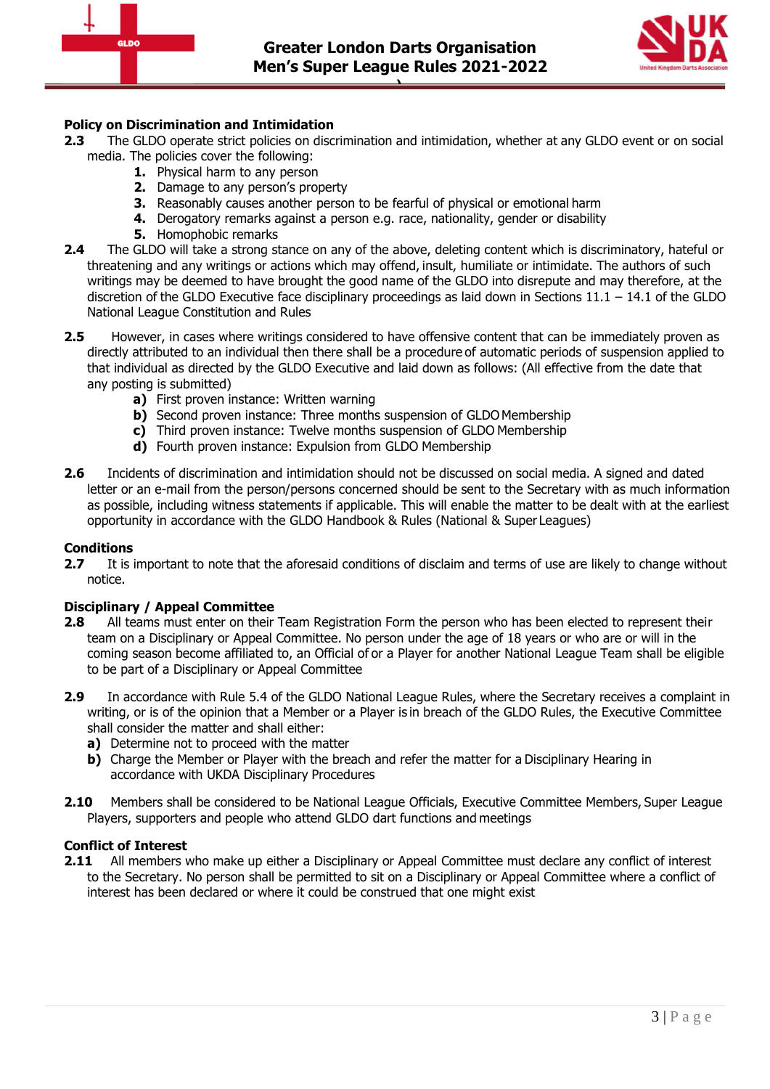



# **Policy on Discrimination and Intimidation**

- **2.3** The GLDO operate strict policies on discrimination and intimidation, whether at any GLDO event or on social media. The policies cover the following:
	- **1.** Physical harm to any person
	- **2.** Damage to any person's property
	- **3.** Reasonably causes another person to be fearful of physical or emotional harm
	- **4.** Derogatory remarks against a person e.g. race, nationality, gender or disability
	- **5.** Homophobic remarks
- **2.4** The GLDO will take a strong stance on any of the above, deleting content which is discriminatory, hateful or threatening and any writings or actions which may offend, insult, humiliate or intimidate. The authors of such writings may be deemed to have brought the good name of the GLDO into disrepute and may therefore, at the discretion of the GLDO Executive face disciplinary proceedings as laid down in Sections 11.1 – 14.1 of the GLDO National League Constitution and Rules
- **2.5** However, in cases where writings considered to have offensive content that can be immediately proven as directly attributed to an individual then there shall be a procedure of automatic periods of suspension applied to that individual as directed by the GLDO Executive and laid down as follows: (All effective from the date that any posting is submitted)
	- **a)** First proven instance: Written warning
	- **b)** Second proven instance: Three months suspension of GLDO Membership
	- **c)** Third proven instance: Twelve months suspension of GLDO Membership
	- **d)** Fourth proven instance: Expulsion from GLDO Membership
- **2.6** Incidents of discrimination and intimidation should not be discussed on social media. A signed and dated letter or an e-mail from the person/persons concerned should be sent to the Secretary with as much information as possible, including witness statements if applicable. This will enable the matter to be dealt with at the earliest opportunity in accordance with the GLDO Handbook & Rules (National & Super Leagues)

# **Conditions**

**2.7** It is important to note that the aforesaid conditions of disclaim and terms of use are likely to change without notice.

# **Disciplinary / Appeal Committee**

- **2.8** All teams must enter on their Team Registration Form the person who has been elected to represent their team on a Disciplinary or Appeal Committee. No person under the age of 18 years or who are or will in the coming season become affiliated to, an Official of or a Player for another National League Team shall be eligible to be part of a Disciplinary or Appeal Committee
- **2.9** In accordance with Rule 5.4 of the GLDO National League Rules, where the Secretary receives a complaint in writing, or is of the opinion that a Member or a Player is in breach of the GLDO Rules, the Executive Committee shall consider the matter and shall either:
	- **a)** Determine not to proceed with the matter
	- **b)** Charge the Member or Player with the breach and refer the matter for a Disciplinary Hearing in accordance with UKDA Disciplinary Procedures
- **2.10** Members shall be considered to be National League Officials, Executive Committee Members, Super League Players, supporters and people who attend GLDO dart functions and meetings

# **Conflict of Interest**

**2.11** All members who make up either a Disciplinary or Appeal Committee must declare any conflict of interest to the Secretary. No person shall be permitted to sit on a Disciplinary or Appeal Committee where a conflict of interest has been declared or where it could be construed that one might exist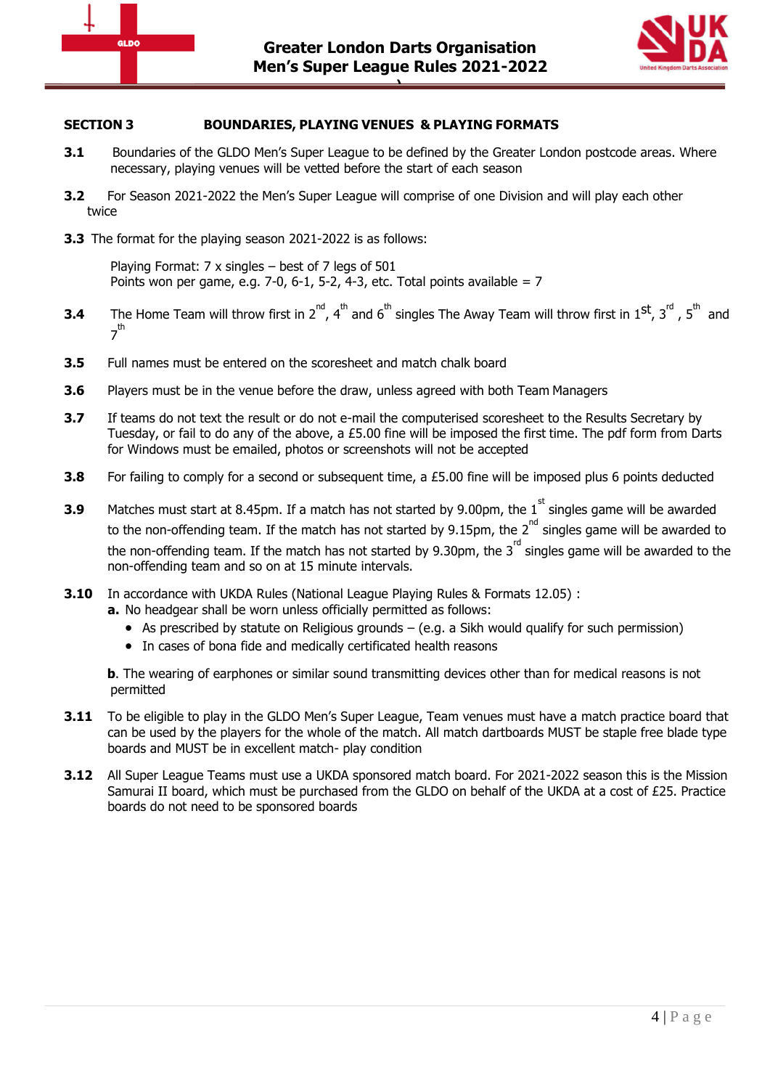



## **SECTION 3 BOUNDARIES, PLAYING VENUES & PLAYING FORMATS**

- **3.1** Boundaries of the GLDO Men's Super League to be defined by the Greater London postcode areas. Where necessary, playing venues will be vetted before the start of each season
- **3.2** For Season 2021-2022 the Men's Super League will comprise of one Division and will play each other twice
- **3.3** The format for the playing season 2021-2022 is as follows:

Playing Format: 7 x singles – best of 7 legs of 501 Points won per game, e.g. 7-0, 6-1, 5-2, 4-3, etc. Total points available = 7

- **3.4** The Home Team will throw first in 2<sup>nd</sup>, 4<sup>th</sup> and 6<sup>th</sup> singles The Away Team will throw first in 1<sup>st</sup>, 3<sup>rd</sup>, 5<sup>th</sup> and 7<sup>th</sup>
- **3.5** Full names must be entered on the scoresheet and match chalk board
- **3.6** Players must be in the venue before the draw, unless agreed with both Team Managers
- **3.7** If teams do not text the result or do not e-mail the computerised scoresheet to the Results Secretary by Tuesday, or fail to do any of the above, a £5.00 fine will be imposed the first time. The pdf form from Darts for Windows must be emailed, photos or screenshots will not be accepted
- **3.8** For failing to comply for a second or subsequent time, a £5.00 fine will be imposed plus 6 points deducted
- **3.9** Matches must start at 8.45pm. If a match has not started by 9.00pm, the 1<sup>st</sup> singles game will be awarded to the non-offending team. If the match has not started by 9.15pm, the 2<sup>nd</sup> singles game will be awarded to the non-offending team. If the match has not started by 9.30pm, the  $3<sup>rd</sup>$  singles game will be awarded to the non-offending team and so on at 15 minute intervals.
- **3.10** In accordance with UKDA Rules (National League Playing Rules & Formats 12.05) :
	- **a.** No headgear shall be worn unless officially permitted as follows:
		- $\bullet$  As prescribed by statute on Religious grounds (e.g. a Sikh would qualify for such permission)
		- In cases of bona fide and medically certificated health reasons

**b**. The wearing of earphones or similar sound transmitting devices other than for medical reasons is not permitted

- **3.11** To be eligible to play in the GLDO Men's Super League, Team venues must have a match practice board that can be used by the players for the whole of the match. All match dartboards MUST be staple free blade type boards and MUST be in excellent match- play condition
- **3.12** All Super League Teams must use a UKDA sponsored match board. For 2021-2022 season this is the Mission Samurai II board, which must be purchased from the GLDO on behalf of the UKDA at a cost of £25. Practice boards do not need to be sponsored boards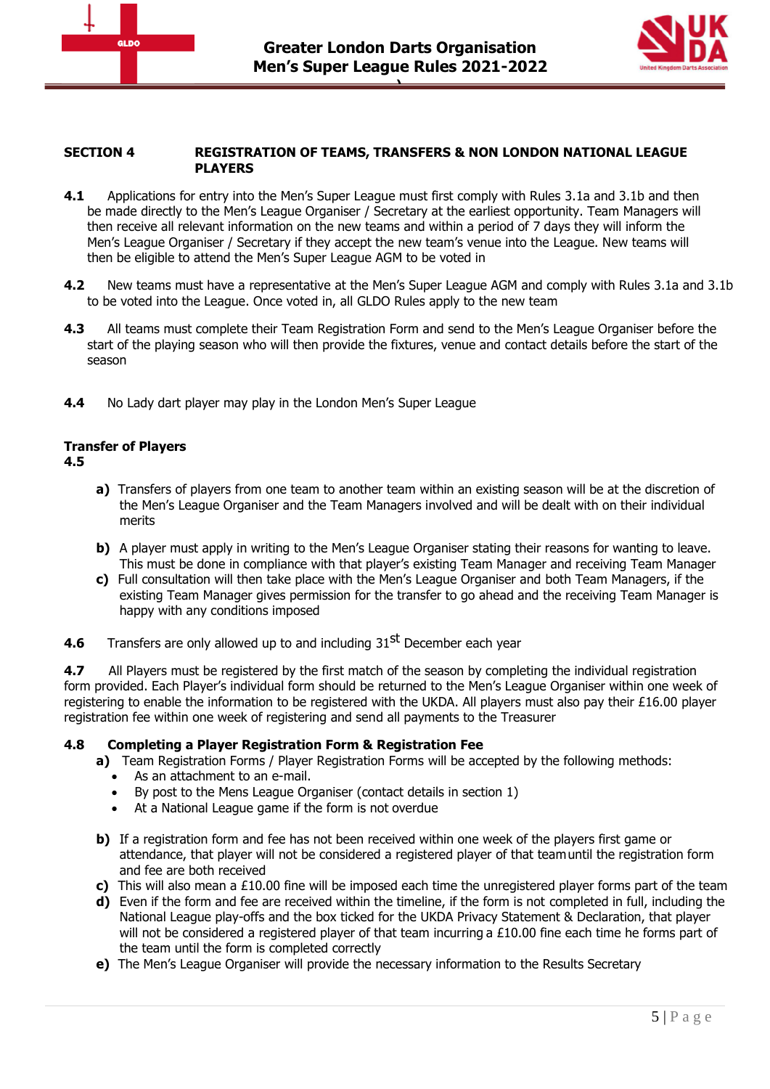



#### **SECTION 4 REGISTRATION OF TEAMS, TRANSFERS & NON LONDON NATIONAL LEAGUE PLAYERS**

- **4.1** Applications for entry into the Men's Super League must first comply with Rules 3.1a and 3.1b and then be made directly to the Men's League Organiser / Secretary at the earliest opportunity. Team Managers will then receive all relevant information on the new teams and within a period of 7 days they will inform the Men's League Organiser / Secretary if they accept the new team's venue into the League. New teams will then be eligible to attend the Men's Super League AGM to be voted in
- **4.2** New teams must have a representative at the Men's Super League AGM and comply with Rules 3.1a and 3.1b to be voted into the League. Once voted in, all GLDO Rules apply to the new team
- **4.3** All teams must complete their Team Registration Form and send to the Men's League Organiser before the start of the playing season who will then provide the fixtures, venue and contact details before the start of the season
- **4.4** No Lady dart player may play in the London Men's Super League

# **Transfer of Players**

## **4.5**

- **a)** Transfers of players from one team to another team within an existing season will be at the discretion of the Men's League Organiser and the Team Managers involved and will be dealt with on their individual merits
- **b)** A player must apply in writing to the Men's League Organiser stating their reasons for wanting to leave. This must be done in compliance with that player's existing Team Manager and receiving Team Manager
- **c)** Full consultation will then take place with the Men's League Organiser and both Team Managers, if the existing Team Manager gives permission for the transfer to go ahead and the receiving Team Manager is happy with any conditions imposed
- **4.6** Transfers are only allowed up to and including 31<sup>st</sup> December each year

**4.7** All Players must be registered by the first match of the season by completing the individual registration form provided. Each Player's individual form should be returned to the Men's League Organiser within one week of registering to enable the information to be registered with the UKDA. All players must also pay their £16.00 player registration fee within one week of registering and send all payments to the Treasurer

# **4.8 Completing a Player Registration Form & Registration Fee**

- **a)** Team Registration Forms / Player Registration Forms will be accepted by the following methods:
	- As an attachment to an e-mail.
	- By post to the Mens League Organiser (contact details in section 1)
	- At a National League game if the form is not overdue
- **b)** If a registration form and fee has not been received within one week of the players first game or attendance, that player will not be considered a registered player of that teamuntil the registration form and fee are both received
- **c)** This will also mean a £10.00 fine will be imposed each time the unregistered player forms part of the team
- **d)** Even if the form and fee are received within the timeline, if the form is not completed in full, including the National League play-offs and the box ticked for the UKDA Privacy Statement & Declaration, that player will not be considered a registered player of that team incurring a £10.00 fine each time he forms part of the team until the form is completed correctly
- **e)** The Men's League Organiser will provide the necessary information to the Results Secretary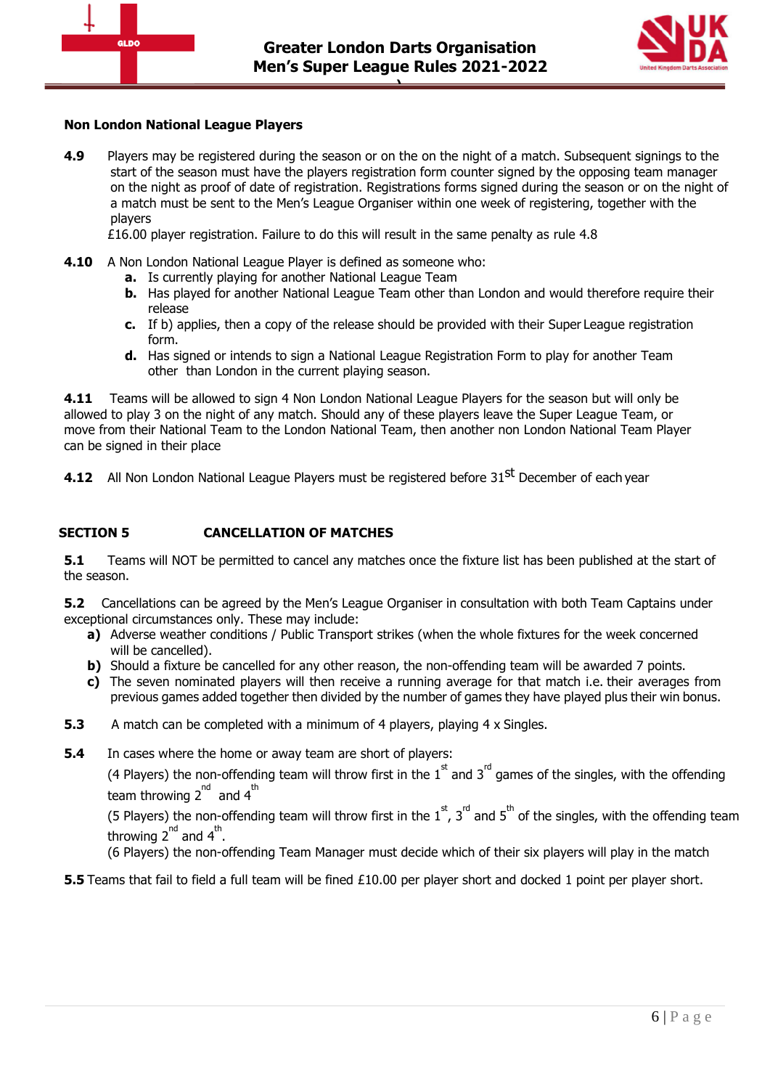

<span id="page-5-0"></span>

## **Non London National League Players**

**4.9** Players may be registered during the season or on the on the night of a match. Subsequent signings to the start of the season must have the players registration form counter signed by the opposing team manager on the night as proof of date of registration. Registrations forms signed during the season or on the night of a match must be sent to the Men's League Organiser within one week of registering, together with the players

£16.00 player registration. Failure to do this will result in the same penalty as rule 4.8

- **4.10** A Non London National League Player is defined as someone who:
	- **a.** Is currently playing for another National League Team
	- **b.** Has played for another National League Team other than London and would therefore require their release
	- **c.** If b) applies, then a copy of the release should be provided with their Super League registration form.
	- **d.** Has signed or intends to sign a National League Registration Form to play for another Team other than London in the current playing season.

**4.11** Teams will be allowed to sign 4 Non London National League Players for the season but will only be allowed to play 3 on the night of any match. Should any of these players leave the Super League Team, or move from their National Team to the London National Team, then another non London National Team Player can be signed in their place

**4.12** All Non London National League Players must be registered before 31<sup>st</sup> December of each year

# **SECTION 5 CANCELLATION OF MATCHES**

**5.1** Teams will NOT be permitted to cancel any matches once the fixture list has been published at the start of the season.

**5.2** Cancellations can be agreed by the Men's League Organiser in consultation with both Team Captains under exceptional circumstances only. These may include:

- **a)** Adverse weather conditions / Public Transport strikes (when the whole fixtures for the week concerned will be cancelled).
- **b)** Should a fixture be cancelled for any other reason, the non-offending team will be awarded 7 points.
- **c)** The seven nominated players will then receive a running average for that match i.e. their averages from previous games added together then divided by the number of games they have played plus their win bonus.
- **5.3** A match can be completed with a minimum of 4 players, playing 4 x Singles.
- **5.4** In cases where the home or away team are short of players:

(4 Players) the non-offending team will throw first in the  $1<sup>st</sup>$  and  $3<sup>rd</sup>$  games of the singles, with the offending team throwing  $2^{nd}$  and  $4^{th}$ 

(5 Players) the non-offending team will throw first in the  $1^{\rm st}$ , 3<sup>rd</sup> and 5<sup>th</sup> of the singles, with the offending team throwing 2<sup>nd</sup> and 4<sup>th</sup>.

(6 Players) the non-offending Team Manager must decide which of their six players will play in the match

**5.5** Teams that fail to field a full team will be fined £10.00 per player short and docked 1 point per player short.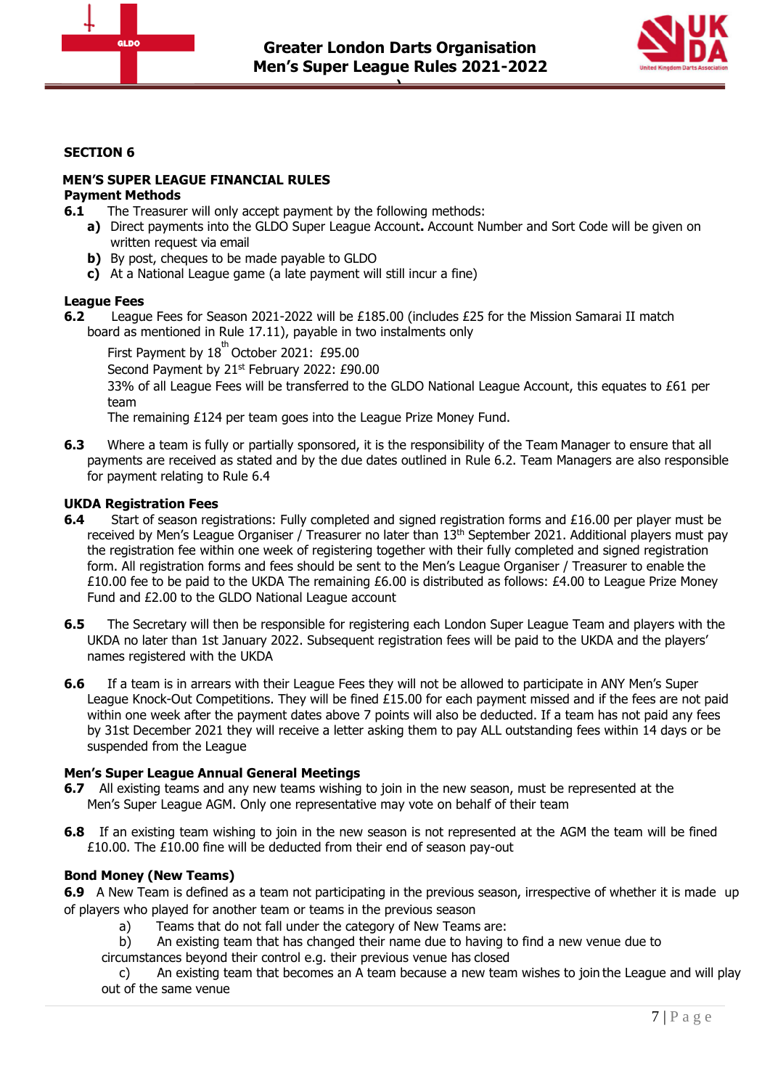



## <span id="page-6-0"></span>**SECTION 6**

## **MEN'S SUPER LEAGUE FINANCIAL RULES Payment Methods**

- **6.1** The Treasurer will only accept payment by the following methods:
	- **a)** Direct payments into the GLDO Super League Account**.** Account Number and Sort Code will be given on written request via email
	- **b)** By post, cheques to be made payable to GLDO
	- **c)** At a National League game (a late payment will still incur a fine)

#### **League Fees**

- **6.2** League Fees for Season 2021-2022 will be £185.00 (includes £25 for the Mission Samarai II match board as mentioned in Rule 17.11), payable in two instalments only
	- First Payment by  $18^{th}$  October 2021: £95.00

Second Payment by 21<sup>st</sup> February 2022: £90.00

33% of all League Fees will be transferred to the GLDO National League Account, this equates to £61 per team

The remaining £124 per team goes into the League Prize Money Fund.

**6.3** Where a team is fully or partially sponsored, it is the responsibility of the Team Manager to ensure that all payments are received as stated and by the due dates outlined in Rule 6.2. Team Managers are also responsible for payment relating to Rule 6.4

#### **UKDA Registration Fees**

- **6.4** Start of season registrations: Fully completed and signed registration forms and £16.00 per player must be received by Men's League Organiser / Treasurer no later than 13<sup>th</sup> September 2021. Additional players must pay the registration fee within one week of registering together with their fully completed and signed registration form. All registration forms and fees should be sent to the Men's League Organiser / Treasurer to enable the £10.00 fee to be paid to the UKDA The remaining £6.00 is distributed as follows: £4.00 to League Prize Money Fund and £2.00 to the GLDO National League account
- **6.5** The Secretary will then be responsible for registering each London Super League Team and players with the UKDA no later than 1st January 2022. Subsequent registration fees will be paid to the UKDA and the players' names registered with the UKDA
- **6.6** If a team is in arrears with their League Fees they will not be allowed to participate in ANY Men's Super League Knock-Out Competitions. They will be fined £15.00 for each payment missed and if the fees are not paid within one week after the payment dates above 7 points will also be deducted. If a team has not paid any fees by 31st December 2021 they will receive a letter asking them to pay ALL outstanding fees within 14 days or be suspended from the League

#### **Men's Super League Annual General Meetings**

- **6.7** All existing teams and any new teams wishing to join in the new season, must be represented at the Men's Super League AGM. Only one representative may vote on behalf of their team
- **6.8** If an existing team wishing to join in the new season is not represented at the AGM the team will be fined £10.00. The £10.00 fine will be deducted from their end of season pay-out

#### **Bond Money (New Teams)**

**6.9** A New Team is defined as a team not participating in the previous season, irrespective of whether it is made up of players who played for another team or teams in the previous season

- a) Teams that do not fall under the category of New Teams are:
- b) An existing team that has changed their name due to having to find a new venue due to
- circumstances beyond their control e.g. their previous venue has closed

c) An existing team that becomes an A team because a new team wishes to join the League and will play out of the same venue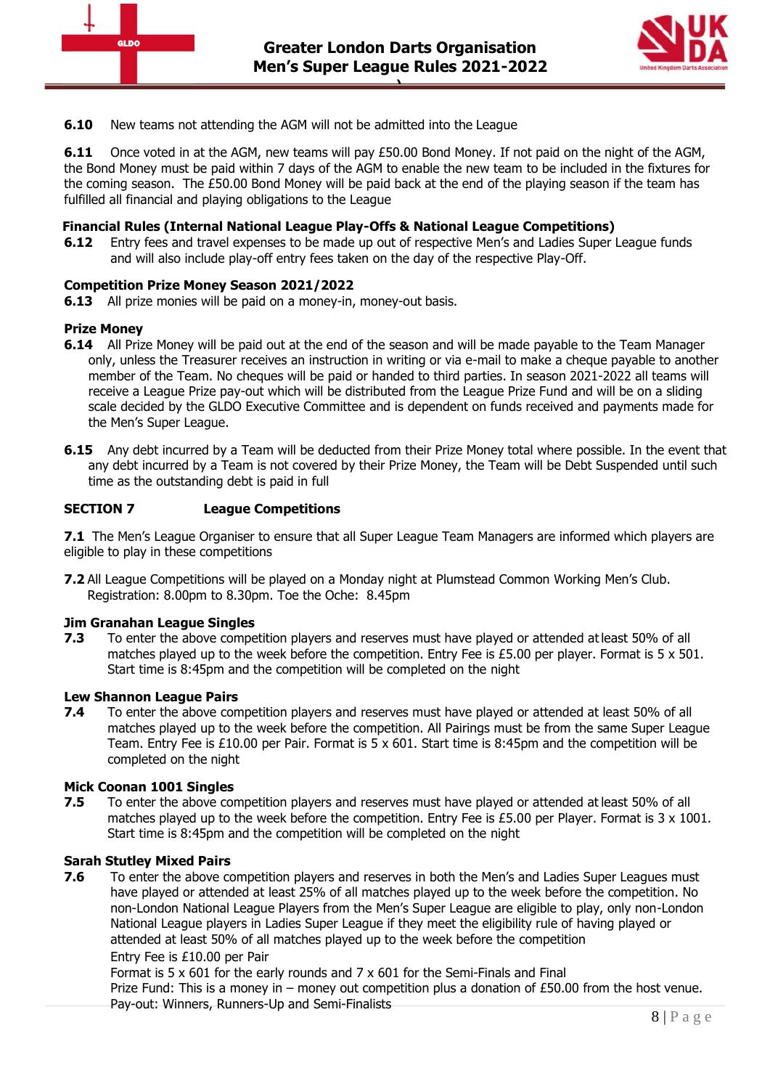



**6.10** New teams not attending the AGM will not be admitted into the League

**6.11** Once voted in at the AGM, new teams will pay £50.00 Bond Money. If not paid on the night of the AGM, the Bond Money must be paid within 7 days of the AGM to enable the new team to be included in the fixtures for the coming season. The £50.00 Bond Money will be paid back at the end of the playing season if the team has fulfilled all financial and playing obligations to the League

## **Financial Rules (Internal National League Play-Offs & National League Competitions)**

**6.12** Entry fees and travel expenses to be made up out of respective Men's and Ladies Super League funds and will also include play-off entry fees taken on the day of the respective Play-Off.

## **Competition Prize Money Season 2021/2022**

**6.13** All prize monies will be paid on a money-in, money-out basis.

#### **Prize Money**

- **6.14** All Prize Money will be paid out at the end of the season and will be made payable to the Team Manager only, unless the Treasurer receives an instruction in writing or via e-mail to make a cheque payable to another member of the Team. No cheques will be paid or handed to third parties. In season 2021-2022 all teams will receive a League Prize pay-out which will be distributed from the League Prize Fund and will be on a sliding scale decided by the GLDO Executive Committee and is dependent on funds received and payments made for the Men's Super League.
- <span id="page-7-0"></span>**6.15** Any debt incurred by a Team will be deducted from their Prize Money total where possible. In the event that any debt incurred by a Team is not covered by their Prize Money, the Team will be Debt Suspended until such time as the outstanding debt is paid in full

## **SECTION 7 League Competitions**

**7.1** The Men's League Organiser to ensure that all Super League Team Managers are informed which players are eligible to play in these competitions

**7.2** All League Competitions will be played on a Monday night at Plumstead Common Working Men's Club. Registration: 8.00pm to 8.30pm. Toe the Oche: 8.45pm

#### **Jim Granahan League Singles**

**7.3** To enter the above competition players and reserves must have played or attended at least 50% of all matches played up to the week before the competition. Entry Fee is £5.00 per player. Format is  $5 \times 501$ . Start time is 8:45pm and the competition will be completed on the night

#### **Lew Shannon League Pairs**

**7.4** To enter the above competition players and reserves must have played or attended at least 50% of all matches played up to the week before the competition. All Pairings must be from the same Super League Team. Entry Fee is £10.00 per Pair. Format is 5 x 601. Start time is 8:45pm and the competition will be completed on the night

#### **Mick Coonan 1001 Singles**

**7.5** To enter the above competition players and reserves must have played or attended at least 50% of all matches played up to the week before the competition. Entry Fee is £5.00 per Player. Format is  $3 \times 1001$ . Start time is 8:45pm and the competition will be completed on the night

#### **Sarah Stutley Mixed Pairs**

**7.6** To enter the above competition players and reserves in both the Men's and Ladies Super Leagues must have played or attended at least 25% of all matches played up to the week before the competition. No non-London National League Players from the Men's Super League are eligible to play, only non-London National League players in Ladies Super League if they meet the eligibility rule of having played or attended at least 50% of all matches played up to the week before the competition Entry Fee is £10.00 per Pair

Format is 5  $\times$  601 for the early rounds and 7  $\times$  601 for the Semi-Finals and Final

Prize Fund: This is a money in – money out competition plus a donation of £50.00 from the host venue. Pay-out: Winners, Runners-Up and Semi-Finalists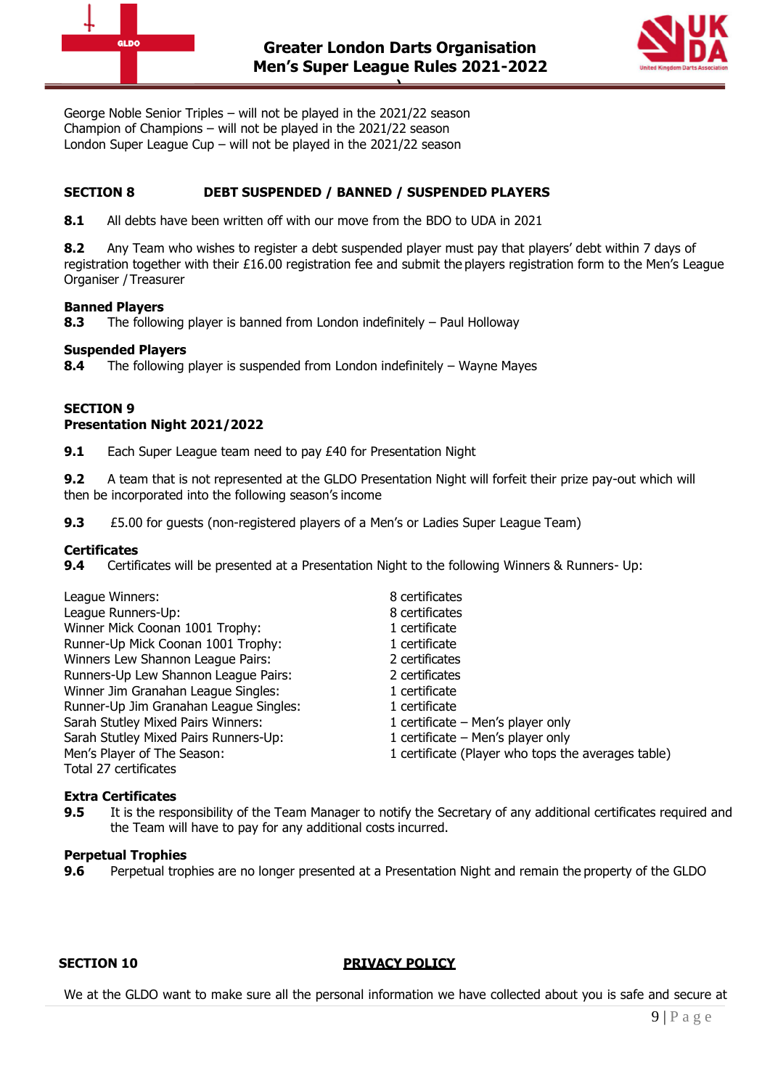



George Noble Senior Triples – will not be played in the 2021/22 season Champion of Champions – will not be played in the 2021/22 season London Super League Cup – will not be played in the 2021/22 season

# **SECTION 8 DEBT SUSPENDED / BANNED / SUSPENDED PLAYERS**

**8.1** All debts have been written off with our move from the BDO to UDA in 2021

**8.2** Any Team who wishes to register a debt suspended player must pay that players' debt within 7 days of registration together with their £16.00 registration fee and submit the players registration form to the Men's League Organiser /Treasurer

## **Banned Players**

**8.3** The following player is banned from London indefinitely – Paul Holloway

## **Suspended Players**

**8.4** The following player is suspended from London indefinitely – Wayne Mayes

#### **SECTION 9 Presentation Night 2021/2022**

**9.1** Each Super League team need to pay £40 for Presentation Night

**9.2** A team that is not represented at the GLDO Presentation Night will forfeit their prize pay-out which will then be incorporated into the following season's income

**9.3** £5.00 for guests (non-registered players of a Men's or Ladies Super League Team)

## **Certificates**

**9.4** Certificates will be presented at a Presentation Night to the following Winners & Runners- Up:

| League Winners:                        | 8 certificates                                     |  |
|----------------------------------------|----------------------------------------------------|--|
| League Runners-Up:                     | 8 certificates                                     |  |
| Winner Mick Coonan 1001 Trophy:        | 1 certificate                                      |  |
| Runner-Up Mick Coonan 1001 Trophy:     | 1 certificate                                      |  |
| Winners Lew Shannon League Pairs:      | 2 certificates                                     |  |
| Runners-Up Lew Shannon League Pairs:   | 2 certificates                                     |  |
| Winner Jim Granahan League Singles:    | 1 certificate                                      |  |
| Runner-Up Jim Granahan League Singles: | 1 certificate                                      |  |
| Sarah Stutley Mixed Pairs Winners:     | 1 certificate – Men's player only                  |  |
| Sarah Stutley Mixed Pairs Runners-Up:  | 1 certificate - Men's player only                  |  |
| Men's Player of The Season:            | 1 certificate (Player who tops the averages table) |  |
| Total 27 certificates                  |                                                    |  |

#### **Extra Certificates**

**9.5** It is the responsibility of the Team Manager to notify the Secretary of any additional certificates required and the Team will have to pay for any additional costs incurred.

#### **Perpetual Trophies**

**9.6** Perpetual trophies are no longer presented at a Presentation Night and remain the property of the GLDO

## **SECTION 10 PRIVACY POLICY**

We at the GLDO want to make sure all the personal information we have collected about you is safe and secure at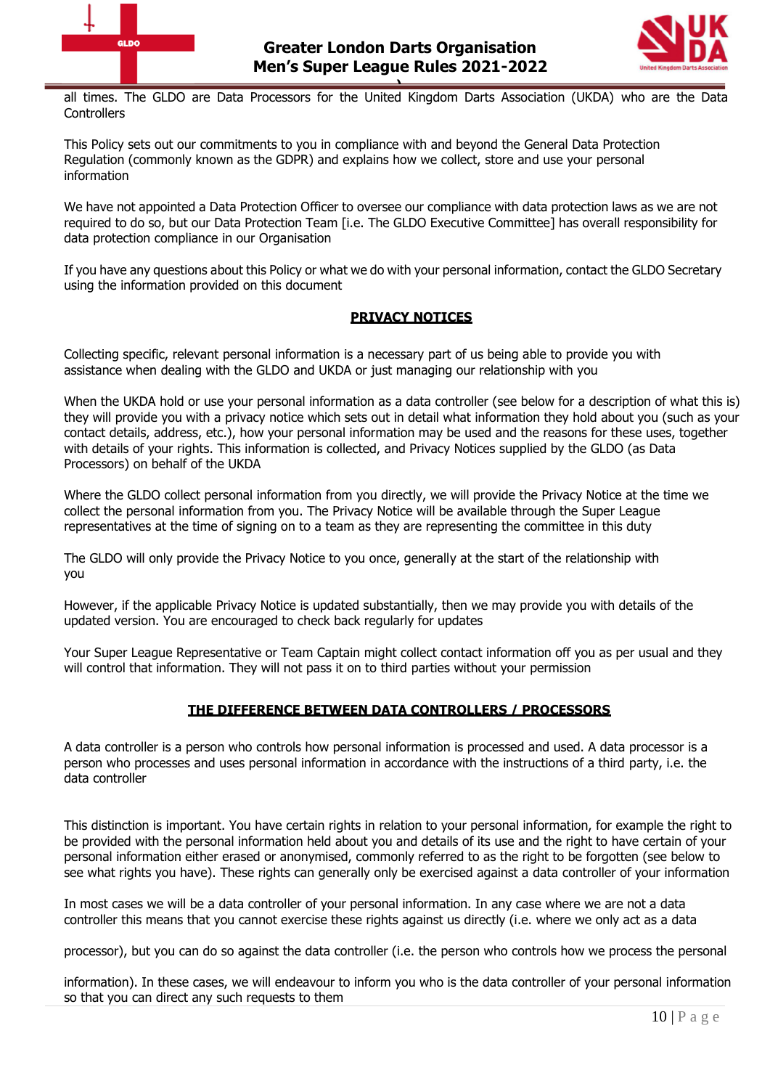



**)**<br>
all times. The GLDO are Data Processors for the United Kingdom Darts Association (UKDA) who are the Data **Controllers** 

This Policy sets out our commitments to you in compliance with and beyond the General Data Protection Regulation (commonly known as the GDPR) and explains how we collect, store and use your personal information

We have not appointed a Data Protection Officer to oversee our compliance with data protection laws as we are not required to do so, but our Data Protection Team [i.e. The GLDO Executive Committee] has overall responsibility for data protection compliance in our Organisation

If you have any questions about this Policy or what we do with your personal information, contact the GLDO Secretary using the information provided on this document

# **PRIVACY NOTICES**

Collecting specific, relevant personal information is a necessary part of us being able to provide you with assistance when dealing with the GLDO and UKDA or just managing our relationship with you

When the UKDA hold or use your personal information as a data controller (see below for a description of what this is) they will provide you with a privacy notice which sets out in detail what information they hold about you (such as your contact details, address, etc.), how your personal information may be used and the reasons for these uses, together with details of your rights. This information is collected, and Privacy Notices supplied by the GLDO (as Data Processors) on behalf of the UKDA

Where the GLDO collect personal information from you directly, we will provide the Privacy Notice at the time we collect the personal information from you. The Privacy Notice will be available through the Super League representatives at the time of signing on to a team as they are representing the committee in this duty

The GLDO will only provide the Privacy Notice to you once, generally at the start of the relationship with you

However, if the applicable Privacy Notice is updated substantially, then we may provide you with details of the updated version. You are encouraged to check back regularly for updates

Your Super League Representative or Team Captain might collect contact information off you as per usual and they will control that information. They will not pass it on to third parties without your permission

# **THE DIFFERENCE BETWEEN DATA CONTROLLERS / PROCESSORS**

A data controller is a person who controls how personal information is processed and used. A data processor is a person who processes and uses personal information in accordance with the instructions of a third party, i.e. the data controller

This distinction is important. You have certain rights in relation to your personal information, for example the right to be provided with the personal information held about you and details of its use and the right to have certain of your personal information either erased or anonymised, commonly referred to as the right to be forgotten (see below to see what rights you have). These rights can generally only be exercised against a data controller of your information

In most cases we will be a data controller of your personal information. In any case where we are not a data controller this means that you cannot exercise these rights against us directly (i.e. where we only act as a data

processor), but you can do so against the data controller (i.e. the person who controls how we process the personal

information). In these cases, we will endeavour to inform you who is the data controller of your personal information so that you can direct any such requests to them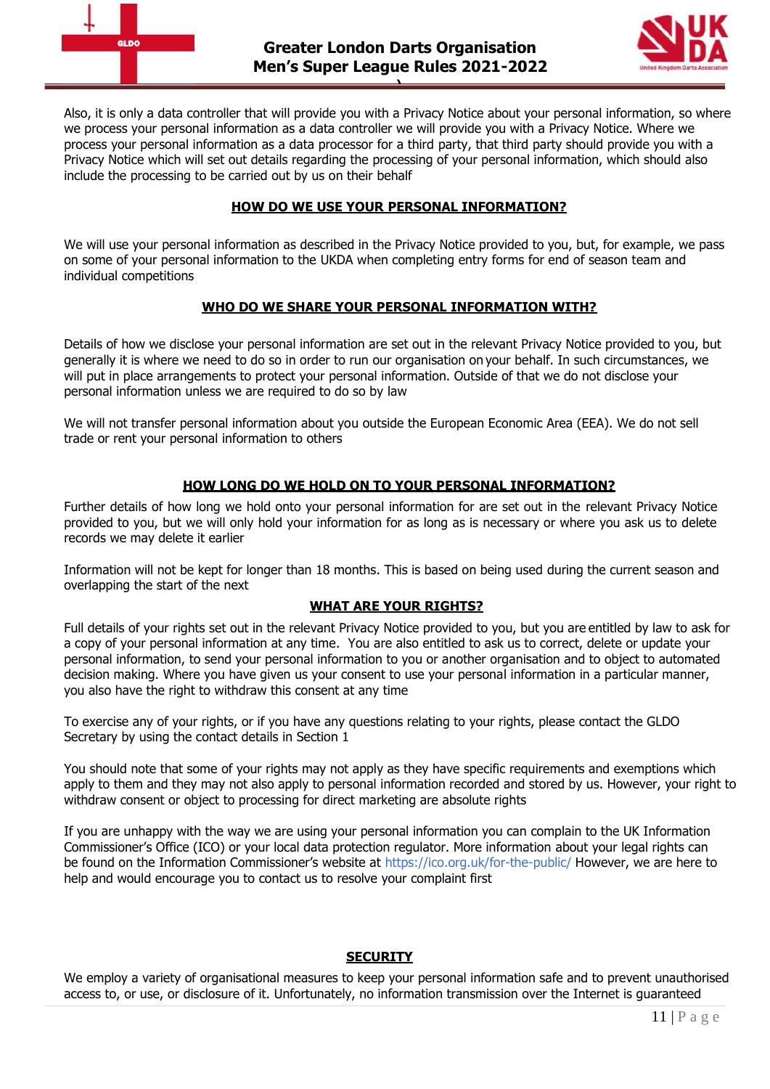



Also, it is only a data controller that will provide you with a Privacy Notice about your personal information, so where we process your personal information as a data controller we will provide you with a Privacy Notice. Where we process your personal information as a data processor for a third party, that third party should provide you with a Privacy Notice which will set out details regarding the processing of your personal information, which should also include the processing to be carried out by us on their behalf

## **HOW DO WE USE YOUR PERSONAL INFORMATION?**

We will use your personal information as described in the Privacy Notice provided to you, but, for example, we pass on some of your personal information to the UKDA when completing entry forms for end of season team and individual competitions

# **WHO DO WE SHARE YOUR PERSONAL INFORMATION WITH?**

Details of how we disclose your personal information are set out in the relevant Privacy Notice provided to you, but generally it is where we need to do so in order to run our organisation on your behalf. In such circumstances, we will put in place arrangements to protect your personal information. Outside of that we do not disclose your personal information unless we are required to do so by law

We will not transfer personal information about you outside the European Economic Area (EEA). We do not sell trade or rent your personal information to others

# **HOW LONG DO WE HOLD ON TO YOUR PERSONAL INFORMATION?**

Further details of how long we hold onto your personal information for are set out in the relevant Privacy Notice provided to you, but we will only hold your information for as long as is necessary or where you ask us to delete records we may delete it earlier

Information will not be kept for longer than 18 months. This is based on being used during the current season and overlapping the start of the next

# **WHAT ARE YOUR RIGHTS?**

Full details of your rights set out in the relevant Privacy Notice provided to you, but you are entitled by law to ask for a copy of your personal information at any time. You are also entitled to ask us to correct, delete or update your personal information, to send your personal information to you or another organisation and to object to automated decision making. Where you have given us your consent to use your personal information in a particular manner, you also have the right to withdraw this consent at any time

To exercise any of your rights, or if you have any questions relating to your rights, please contact the GLDO Secretary by using the contact details in Section 1

You should note that some of your rights may not apply as they have specific requirements and exemptions which apply to them and they may not also apply to personal information recorded and stored by us. However, your right to withdraw consent or object to processing for direct marketing are absolute rights

If you are unhappy with the way we are using your personal information you can complain to the UK Information Commissioner's Office (ICO) or your local data protection regulator. More information about your legal rights can be found on the Information Commissioner's website at <https://ico.org.uk/for-the-public/> However, we are here to help and would encourage you to contact us to resolve your complaint first

# **SECURITY**

We employ a variety of organisational measures to keep your personal information safe and to prevent unauthorised access to, or use, or disclosure of it. Unfortunately, no information transmission over the Internet is guaranteed